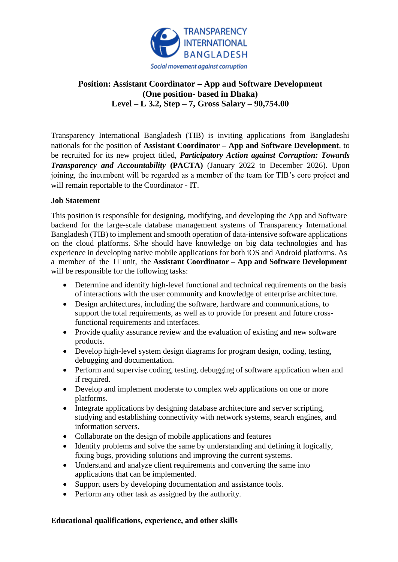

## **Position: Assistant Coordinator – App and Software Development (One position- based in Dhaka) Level – L 3.2, Step – 7, Gross Salary – 90,754.00**

Transparency International Bangladesh (TIB) is inviting applications from Bangladeshi nationals for the position of **Assistant Coordinator – App and Software Development**, to be recruited for its new project titled, *Participatory Action against Corruption: Towards Transparency and Accountability* (PACTA) (January 2022 to December 2026). Upon joining, the incumbent will be regarded as a member of the team for TIB's core project and will remain reportable to the Coordinator - IT.

## **Job Statement**

This position is responsible for designing, modifying, and developing the App and Software backend for the large-scale database management systems of Transparency International Bangladesh (TIB) to implement and smooth operation of data-intensive software applications on the cloud platforms. S/he should have knowledge on big data technologies and has experience in developing native mobile applications for both iOS and Android platforms. As a member of the IT unit, the **Assistant Coordinator – App and Software Development** will be responsible for the following tasks:

- Determine and identify high-level functional and technical requirements on the basis of interactions with the user community and knowledge of enterprise architecture.
- Design architectures, including the software, hardware and communications, to support the total requirements, as well as to provide for present and future crossfunctional requirements and interfaces.
- Provide quality assurance review and the evaluation of existing and new software products.
- Develop high-level system design diagrams for program design, coding, testing, debugging and documentation.
- Perform and supervise coding, testing, debugging of software application when and if required.
- Develop and implement moderate to complex web applications on one or more platforms.
- Integrate applications by designing database architecture and server scripting, studying and establishing connectivity with network systems, search engines, and information servers.
- Collaborate on the design of mobile applications and features
- Identify problems and solve the same by understanding and defining it logically, fixing bugs, providing solutions and improving the current systems.
- Understand and analyze client requirements and converting the same into applications that can be implemented.
- Support users by developing documentation and assistance tools.
- Perform any other task as assigned by the authority.

## **Educational qualifications, experience, and other skills**